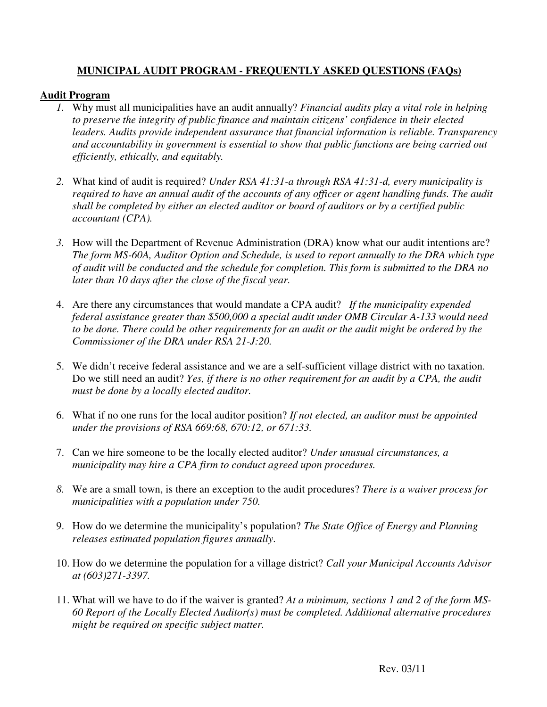## **MUNICIPAL AUDIT PROGRAM - FREQUENTLY ASKED QUESTIONS (FAQs)**

## **Audit Program**

- *1.* Why must all municipalities have an audit annually? *Financial audits play a vital role in helping to preserve the integrity of public finance and maintain citizens' confidence in their elected leaders. Audits provide independent assurance that financial information is reliable. Transparency and accountability in government is essential to show that public functions are being carried out efficiently, ethically, and equitably.*
- *2.* What kind of audit is required? *Under RSA 41:31-a through RSA 41:31-d, every municipality is required to have an annual audit of the accounts of any officer or agent handling funds. The audit shall be completed by either an elected auditor or board of auditors or by a certified public accountant (CPA).*
- *3.* How will the Department of Revenue Administration (DRA) know what our audit intentions are? *The form MS-60A, Auditor Option and Schedule, is used to report annually to the DRA which type of audit will be conducted and the schedule for completion. This form is submitted to the DRA no later than 10 days after the close of the fiscal year.*
- 4. Are there any circumstances that would mandate a CPA audit? *If the municipality expended federal assistance greater than \$500,000 a special audit under OMB Circular A-133 would need to be done. There could be other requirements for an audit or the audit might be ordered by the Commissioner of the DRA under RSA 21-J:20.*
- 5. We didn't receive federal assistance and we are a self-sufficient village district with no taxation. Do we still need an audit? *Yes, if there is no other requirement for an audit by a CPA, the audit must be done by a locally elected auditor.*
- 6. What if no one runs for the local auditor position? *If not elected, an auditor must be appointed under the provisions of RSA 669:68, 670:12, or 671:33.*
- 7. Can we hire someone to be the locally elected auditor? *Under unusual circumstances, a municipality may hire a CPA firm to conduct agreed upon procedures.*
- *8.* We are a small town, is there an exception to the audit procedures? *There is a waiver process for municipalities with a population under 750.*
- 9. How do we determine the municipality's population? *The State Office of Energy and Planning releases estimated population figures annually*.
- 10. How do we determine the population for a village district? *Call your Municipal Accounts Advisor at (603)271-3397.*
- 11. What will we have to do if the waiver is granted? *At a minimum, sections 1 and 2 of the form MS-60 Report of the Locally Elected Auditor(s) must be completed. Additional alternative procedures might be required on specific subject matter.*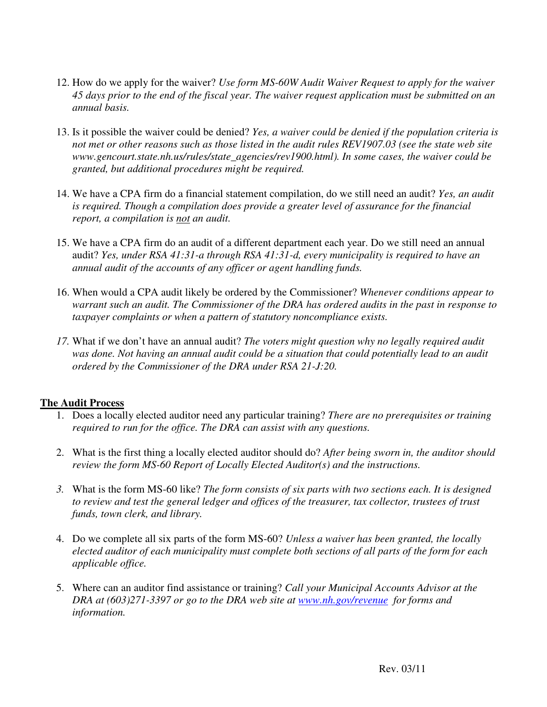- 12. How do we apply for the waiver? *Use form MS-60W Audit Waiver Request to apply for the waiver 45 days prior to the end of the fiscal year. The waiver request application must be submitted on an annual basis.*
- 13. Is it possible the waiver could be denied? *Yes, a waiver could be denied if the population criteria is not met or other reasons such as those listed in the audit rules REV1907.03 (see the state web site www.gencourt.state.nh.us/rules/state\_agencies/rev1900.html). In some cases, the waiver could be granted, but additional procedures might be required.*
- 14. We have a CPA firm do a financial statement compilation, do we still need an audit? *Yes, an audit is required. Though a compilation does provide a greater level of assurance for the financial report, a compilation is not an audit.*
- 15. We have a CPA firm do an audit of a different department each year. Do we still need an annual audit? *Yes, under RSA 41:31-a through RSA 41:31-d, every municipality is required to have an annual audit of the accounts of any officer or agent handling funds.*
- 16. When would a CPA audit likely be ordered by the Commissioner? *Whenever conditions appear to warrant such an audit. The Commissioner of the DRA has ordered audits in the past in response to taxpayer complaints or when a pattern of statutory noncompliance exists.*
- *17.* What if we don't have an annual audit? *The voters might question why no legally required audit*  was done. Not having an annual audit could be a situation that could potentially lead to an audit *ordered by the Commissioner of the DRA under RSA 21-J:20.*

## **The Audit Process**

- 1. Does a locally elected auditor need any particular training? *There are no prerequisites or training required to run for the office. The DRA can assist with any questions.*
- 2. What is the first thing a locally elected auditor should do? *After being sworn in, the auditor should review the form MS-60 Report of Locally Elected Auditor(s) and the instructions.*
- *3.* What is the form MS-60 like? *The form consists of six parts with two sections each. It is designed to review and test the general ledger and offices of the treasurer, tax collector, trustees of trust funds, town clerk, and library.*
- 4. Do we complete all six parts of the form MS-60? *Unless a waiver has been granted, the locally elected auditor of each municipality must complete both sections of all parts of the form for each applicable office.*
- 5. Where can an auditor find assistance or training? *Call your Municipal Accounts Advisor at the DRA at (603)271-3397 or go to the DRA web site at www.nh.gov/revenue for forms and information.*